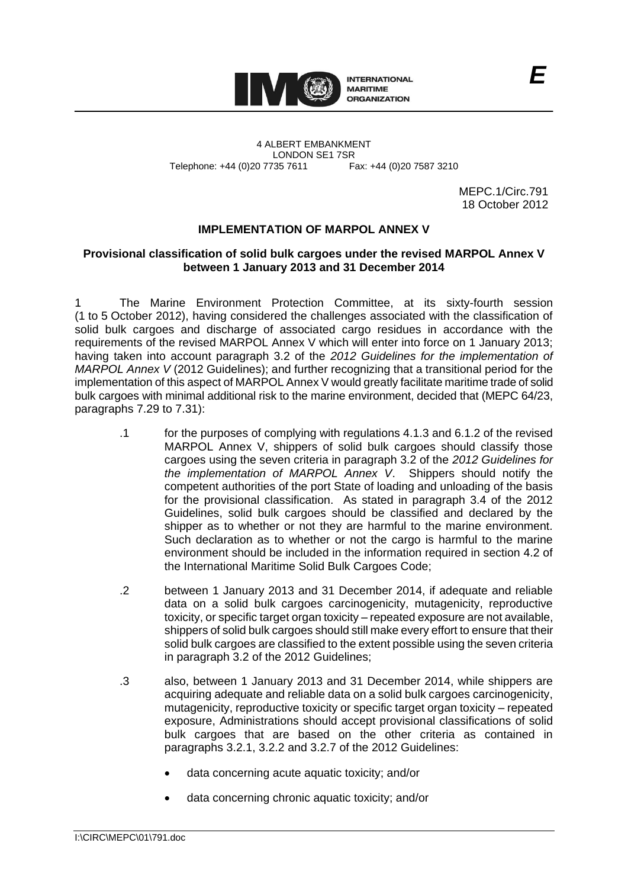

4 ALBERT EMBANKMENT LONDON SE1 7SR Telephone: +44 (0)20 7735 7611 Fax: +44 (0)20 7587 3210

MEPC.1/Circ.791 18 October 2012

## **IMPLEMENTATION OF MARPOL ANNEX V**

## **Provisional classification of solid bulk cargoes under the revised MARPOL Annex V between 1 January 2013 and 31 December 2014**

1 The Marine Environment Protection Committee, at its sixty-fourth session (1 to 5 October 2012), having considered the challenges associated with the classification of solid bulk cargoes and discharge of associated cargo residues in accordance with the requirements of the revised MARPOL Annex V which will enter into force on 1 January 2013; having taken into account paragraph 3.2 of the *2012 Guidelines for the implementation of MARPOL Annex V* (2012 Guidelines); and further recognizing that a transitional period for the implementation of this aspect of MARPOL Annex V would greatly facilitate maritime trade of solid bulk cargoes with minimal additional risk to the marine environment, decided that (MEPC 64/23, paragraphs 7.29 to 7.31):

- .1 for the purposes of complying with regulations 4.1.3 and 6.1.2 of the revised MARPOL Annex V, shippers of solid bulk cargoes should classify those cargoes using the seven criteria in paragraph 3.2 of the *2012 Guidelines for the implementation of MARPOL Annex V*. Shippers should notify the competent authorities of the port State of loading and unloading of the basis for the provisional classification. As stated in paragraph 3.4 of the 2012 Guidelines, solid bulk cargoes should be classified and declared by the shipper as to whether or not they are harmful to the marine environment. Such declaration as to whether or not the cargo is harmful to the marine environment should be included in the information required in section 4.2 of the International Maritime Solid Bulk Cargoes Code;
- .2 between 1 January 2013 and 31 December 2014, if adequate and reliable data on a solid bulk cargoes carcinogenicity, mutagenicity, reproductive toxicity, or specific target organ toxicity – repeated exposure are not available, shippers of solid bulk cargoes should still make every effort to ensure that their solid bulk cargoes are classified to the extent possible using the seven criteria in paragraph 3.2 of the 2012 Guidelines;
- .3 also, between 1 January 2013 and 31 December 2014, while shippers are acquiring adequate and reliable data on a solid bulk cargoes carcinogenicity, mutagenicity, reproductive toxicity or specific target organ toxicity – repeated exposure, Administrations should accept provisional classifications of solid bulk cargoes that are based on the other criteria as contained in paragraphs 3.2.1, 3.2.2 and 3.2.7 of the 2012 Guidelines:
	- data concerning acute aquatic toxicity; and/or
	- data concerning chronic aquatic toxicity; and/or